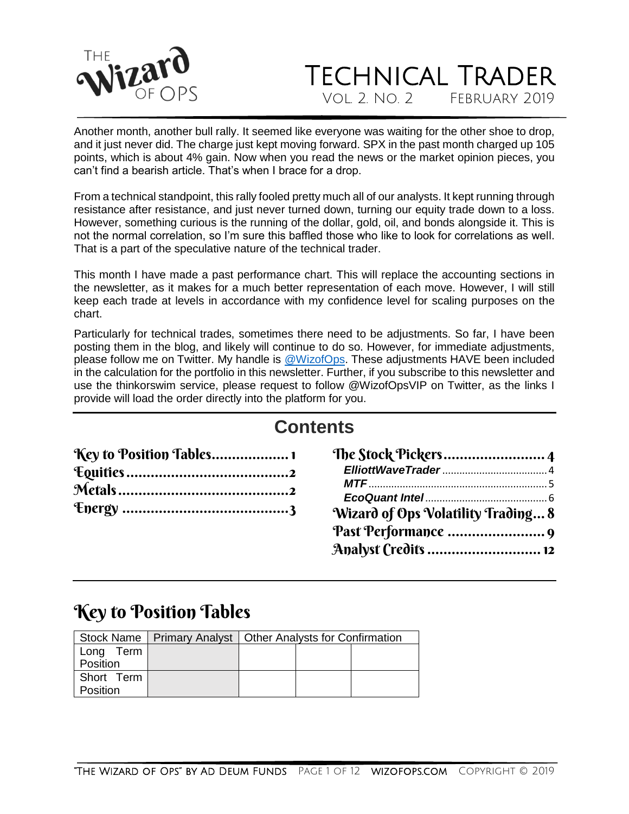

Another month, another bull rally. It seemed like everyone was waiting for the other shoe to drop, and it just never did. The charge just kept moving forward. SPX in the past month charged up 105 points, which is about 4% gain. Now when you read the news or the market opinion pieces, you can't find a bearish article. That's when I brace for a drop.

From a technical standpoint, this rally fooled pretty much all of our analysts. It kept running through resistance after resistance, and just never turned down, turning our equity trade down to a loss. However, something curious is the running of the dollar, gold, oil, and bonds alongside it. This is not the normal correlation, so I'm sure this baffled those who like to look for correlations as well. That is a part of the speculative nature of the technical trader.

This month I have made a past performance chart. This will replace the accounting sections in the newsletter, as it makes for a much better representation of each move. However, I will still keep each trade at levels in accordance with my confidence level for scaling purposes on the chart.

Particularly for technical trades, sometimes there need to be adjustments. So far, I have been posting them in the blog, and likely will continue to do so. However, for immediate adjustments, please follow me on Twitter. My handle is [@WizofOps.](file:///C:/Users/jilld/Documents/Ad%20Deum/Newsletters/twitter.com/wizofops) These adjustments HAVE been included in the calculation for the portfolio in this newsletter. Further, if you subscribe to this newsletter and use the thinkorswim service, please request to follow @WizofOpsVIP on Twitter, as the links I provide will load the order directly into the platform for you.

### **Contents**

| Key to Position Tables 1 |                                    |
|--------------------------|------------------------------------|
|                          |                                    |
|                          |                                    |
|                          |                                    |
|                          | Wizard of Ops Volatility Trading 8 |
|                          |                                    |

| Wizard of Ops Volatility Trading 8 |  |
|------------------------------------|--|
|                                    |  |
| Analyst (redits  12                |  |

### <span id="page-0-0"></span>Key to Position Tables

|            | Stock Name   Primary Analyst   Other Analysts for Confirmation |  |  |  |
|------------|----------------------------------------------------------------|--|--|--|
| Long Term  |                                                                |  |  |  |
| Position   |                                                                |  |  |  |
| Short Term |                                                                |  |  |  |
| Position   |                                                                |  |  |  |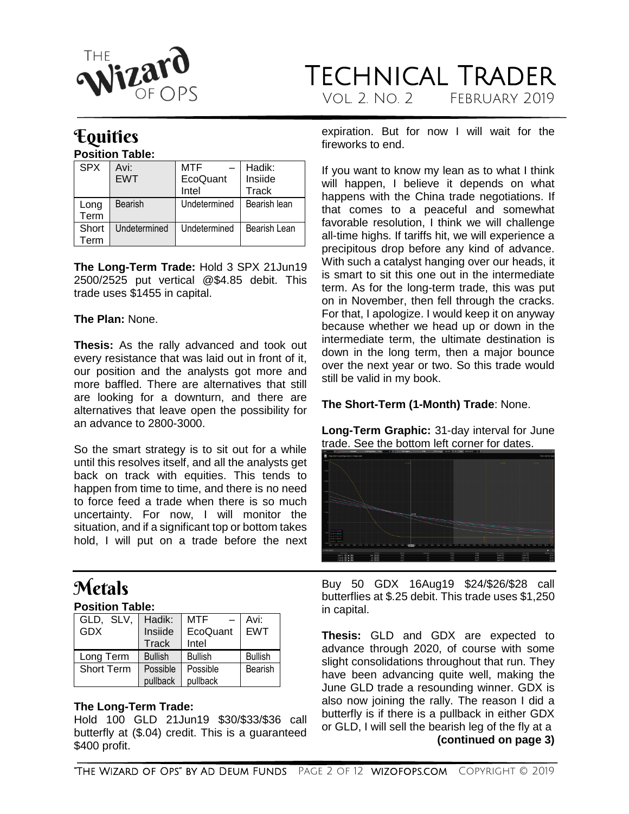

## <span id="page-1-0"></span>**Equities**

#### **Position Table:**

| <b>SPX</b>   | Avi:<br><b>FWT</b> | MTF<br>EcoQuant<br>Intel | Hadik:<br>Insiide<br>Track |
|--------------|--------------------|--------------------------|----------------------------|
| Long<br>Term | Bearish            | Undetermined             | Bearish lean               |
| Short<br>erm | Undetermined       | Undetermined             | Bearish Lean               |

**The Long-Term Trade:** Hold 3 SPX 21Jun19 2500/2525 put vertical @\$4.85 debit. This trade uses \$1455 in capital.

#### **The Plan:** None.

**Thesis:** As the rally advanced and took out every resistance that was laid out in front of it, our position and the analysts got more and more baffled. There are alternatives that still are looking for a downturn, and there are alternatives that leave open the possibility for an advance to 2800-3000.

So the smart strategy is to sit out for a while until this resolves itself, and all the analysts get back on track with equities. This tends to happen from time to time, and there is no need to force feed a trade when there is so much uncertainty. For now, I will monitor the situation, and if a significant top or bottom takes hold, I will put on a trade before the next

# <span id="page-1-1"></span>Metals

#### **Position Table:**

| GLD, SLV,         | Hadik:         | MTF<br>$\sim$  | Avi:           |
|-------------------|----------------|----------------|----------------|
| <b>GDX</b>        | Insiide        | EcoQuant       | EWT            |
|                   | <b>Track</b>   | Intel          |                |
|                   |                |                |                |
| Long Term         | <b>Bullish</b> | <b>Bullish</b> | <b>Bullish</b> |
| <b>Short Term</b> | Possible       | Possible       | Bearish        |

#### **The Long-Term Trade:**

Hold 100 GLD 21Jun19 \$30/\$33/\$36 call butterfly at (\$.04) credit. This is a guaranteed \$400 profit.

expiration. But for now I will wait for the fireworks to end.

If you want to know my lean as to what I think will happen, I believe it depends on what happens with the China trade negotiations. If that comes to a peaceful and somewhat favorable resolution, I think we will challenge all-time highs. If tariffs hit, we will experience a precipitous drop before any kind of advance. With such a catalyst hanging over our heads, it is smart to sit this one out in the intermediate term. As for the long-term trade, this was put on in November, then fell through the cracks. For that, I apologize. I would keep it on anyway because whether we head up or down in the intermediate term, the ultimate destination is down in the long term, then a major bounce over the next year or two. So this trade would still be valid in my book.

#### **The Short-Term (1-Month) Trade**: None.

**Long-Term Graphic:** 31-day interval for June trade. See the bottom left corner for dates.



Buy 50 GDX 16Aug19 \$24/\$26/\$28 call butterflies at \$.25 debit. This trade uses \$1,250 in capital.

**Thesis:** GLD and GDX are expected to advance through 2020, of course with some slight consolidations throughout that run. They have been advancing quite well, making the June GLD trade a resounding winner. GDX is also now joining the rally. The reason I did a butterfly is if there is a pullback in either GDX or GLD, I will sell the bearish leg of the fly at a **(continued on page 3)**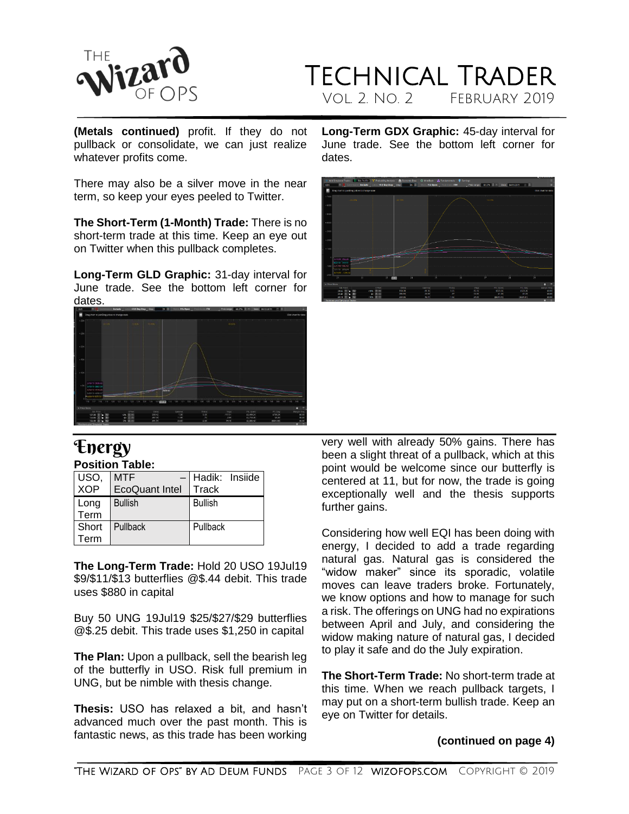

## TECHNICAL TRADER VOL. 2. NO. 2

**(Metals continued)** profit. If they do not pullback or consolidate, we can just realize whatever profits come.

There may also be a silver move in the near term, so keep your eyes peeled to Twitter.

**The Short-Term (1-Month) Trade:** There is no short-term trade at this time. Keep an eye out on Twitter when this pullback completes.

**Long-Term GLD Graphic:** 31-day interval for June trade. See the bottom left corner for dates.



# <span id="page-2-0"></span>*<u>Energy</u>*

| <b>Position Table:</b> |  |
|------------------------|--|
|                        |  |

| USO,<br>XOP | <b>MTF</b>            | - Hadik: Insiide |
|-------------|-----------------------|------------------|
|             | <b>EcoQuant Intel</b> | Track            |
| Long        | <b>Bullish</b>        | <b>Bullish</b>   |
| Term        |                       |                  |
| Short       | Pullback              | Pullback         |
| Term        |                       |                  |

**The Long-Term Trade:** Hold 20 USO 19Jul19 \$9/\$11/\$13 butterflies @\$.44 debit. This trade uses \$880 in capital

Buy 50 UNG 19Jul19 \$25/\$27/\$29 butterflies @\$.25 debit. This trade uses \$1,250 in capital

**The Plan:** Upon a pullback, sell the bearish leg of the butterfly in USO. Risk full premium in UNG, but be nimble with thesis change.

**Thesis:** USO has relaxed a bit, and hasn't advanced much over the past month. This is fantastic news, as this trade has been working **Long-Term GDX Graphic:** 45-day interval for June trade. See the bottom left corner for dates.



very well with already 50% gains. There has been a slight threat of a pullback, which at this point would be welcome since our butterfly is centered at 11, but for now, the trade is going exceptionally well and the thesis supports further gains.

Considering how well EQI has been doing with energy, I decided to add a trade regarding natural gas. Natural gas is considered the "widow maker" since its sporadic, volatile moves can leave traders broke. Fortunately, we know options and how to manage for such a risk. The offerings on UNG had no expirations between April and July, and considering the widow making nature of natural gas, I decided to play it safe and do the July expiration.

**The Short-Term Trade:** No short-term trade at this time. When we reach pullback targets, I may put on a short-term bullish trade. Keep an eye on Twitter for details.

#### **(continued on page 4)**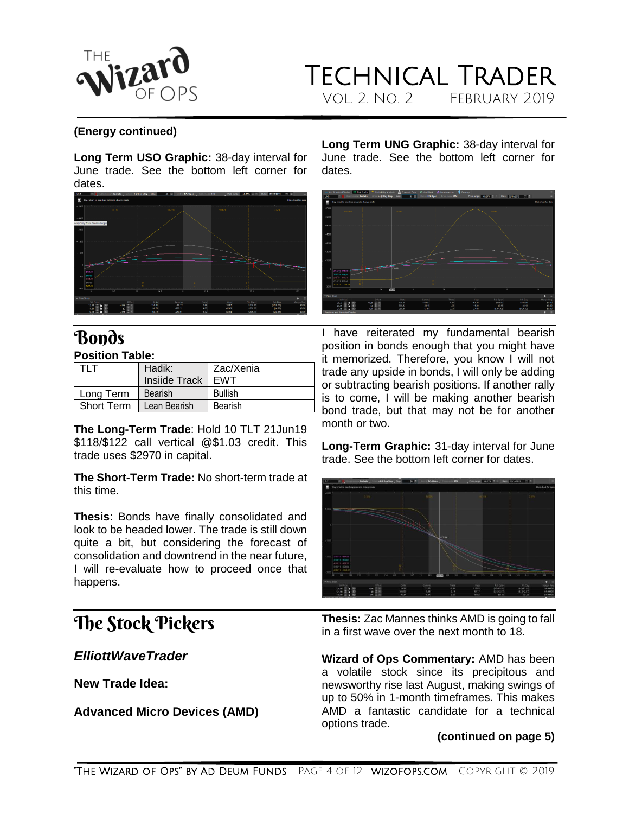

## Technical Trader VOL. 2. NO. 2 FEBRUARY 2019

#### **(Energy continued)**

**Long Term USO Graphic:** 38-day interval for June trade. See the bottom left corner for dates.

![](_page_3_Figure_4.jpeg)

# **Bonds**

#### **Position Table:**

| I TLT                     | Hadik:<br>Insiide Track   EWT | Zac/Xenia      |
|---------------------------|-------------------------------|----------------|
| Long Term                 | Bearish                       | <b>Bullish</b> |
| Short Term   Lean Bearish |                               | Bearish        |

**The Long-Term Trade**: Hold 10 TLT 21Jun19 \$118/\$122 call vertical @\$1.03 credit. This trade uses \$2970 in capital.

**The Short-Term Trade:** No short-term trade at this time.

**Thesis**: Bonds have finally consolidated and look to be headed lower. The trade is still down quite a bit, but considering the forecast of consolidation and downtrend in the near future, I will re-evaluate how to proceed once that happens.

### <span id="page-3-0"></span>The Stock Pickers

<span id="page-3-1"></span>*ElliottWaveTrader*

**New Trade Idea:**

**Advanced Micro Devices (AMD)**

**Long Term UNG Graphic:** 38-day interval for June trade. See the bottom left corner for dates.

![](_page_3_Figure_16.jpeg)

I have reiterated my fundamental bearish position in bonds enough that you might have it memorized. Therefore, you know I will not trade any upside in bonds, I will only be adding or subtracting bearish positions. If another rally is to come, I will be making another bearish bond trade, but that may not be for another month or two.

**Long-Term Graphic:** 31-day interval for June trade. See the bottom left corner for dates.

![](_page_3_Picture_19.jpeg)

**Thesis:** Zac Mannes thinks AMD is going to fall in a first wave over the next month to 18.

**Wizard of Ops Commentary:** AMD has been a volatile stock since its precipitous and newsworthy rise last August, making swings of up to 50% in 1-month timeframes. This makes AMD a fantastic candidate for a technical options trade.

#### **(continued on page 5)**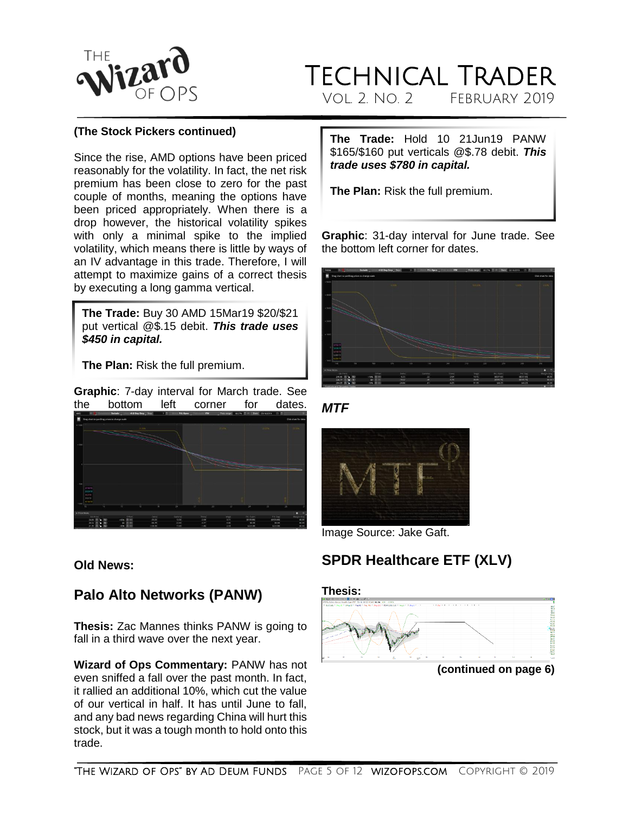![](_page_4_Picture_0.jpeg)

### TECHNICAL TRADER<br>VOL 2. NO. 2 FEBRUARY 2019 Vol. 2. No. 2 February 2019

#### **(The Stock Pickers continued)**

Since the rise, AMD options have been priced reasonably for the volatility. In fact, the net risk premium has been close to zero for the past couple of months, meaning the options have been priced appropriately. When there is a drop however, the historical volatility spikes with only a minimal spike to the implied volatility, which means there is little by ways of an IV advantage in this trade. Therefore, I will attempt to maximize gains of a correct thesis by executing a long gamma vertical.

**The Trade:** Buy 30 AMD 15Mar19 \$20/\$21 put vertical @\$.15 debit. *This trade uses \$450 in capital.*

**The Plan:** Risk the full premium.

**Graphic**: 7-day interval for March trade. See the bottom left corner for dates.

![](_page_4_Picture_7.jpeg)

#### **Old News:**

### **Palo Alto Networks (PANW)**

**Thesis:** Zac Mannes thinks PANW is going to fall in a third wave over the next year.

**Wizard of Ops Commentary:** PANW has not even sniffed a fall over the past month. In fact, it rallied an additional 10%, which cut the value of our vertical in half. It has until June to fall, and any bad news regarding China will hurt this stock, but it was a tough month to hold onto this trade.

**The Trade:** Hold 10 21Jun19 PANW \$165/\$160 put verticals @\$.78 debit. *This trade uses \$780 in capital.*

**The Plan:** Risk the full premium.

**Graphic**: 31-day interval for June trade. See the bottom left corner for dates.

![](_page_4_Picture_15.jpeg)

<span id="page-4-0"></span>![](_page_4_Figure_16.jpeg)

![](_page_4_Picture_17.jpeg)

Image Source: Jake Gaft.

### **SPDR Healthcare ETF (XLV)**

#### **Thesis:**

![](_page_4_Figure_21.jpeg)

**(continued on page 6)**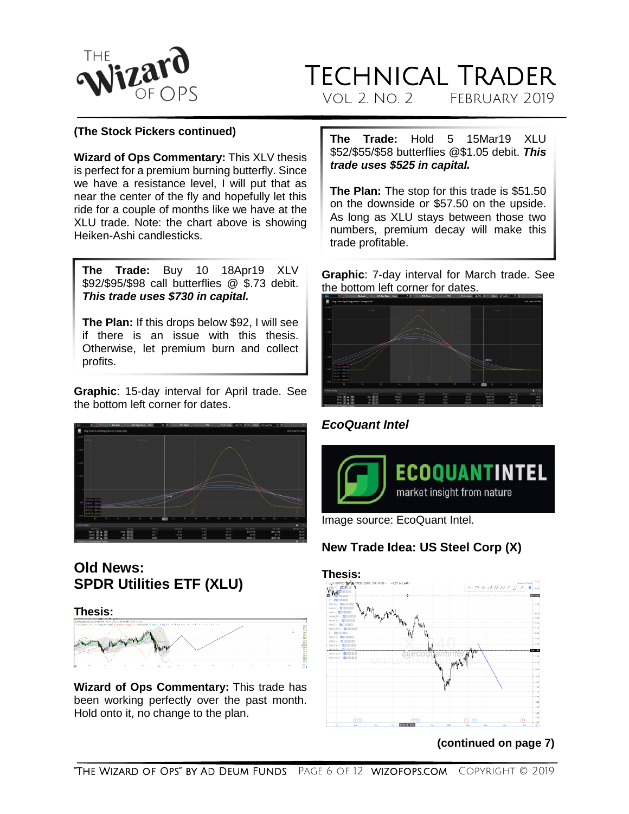![](_page_5_Picture_0.jpeg)

**(The Stock Pickers continued)**

**Wizard of Ops Commentary:** This XLV thesis is perfect for a premium burning butterfly. Since we have a resistance level, I will put that as near the center of the fly and hopefully let this ride for a couple of months like we have at the XLU trade. Note: the chart above is showing Heiken-Ashi candlesticks.

**The Trade:** Buy 10 18Apr19 XLV \$92/\$95/\$98 call butterflies @ \$.73 debit. *This trade uses \$730 in capital.*

**The Plan:** If this drops below \$92, I will see if there is an issue with this thesis. Otherwise, let premium burn and collect profits.

**Graphic**: 15-day interval for April trade. See the bottom left corner for dates.

![](_page_5_Picture_7.jpeg)

### **Old News: SPDR Utilities ETF (XLU)**

**Thesis:** 

![](_page_5_Picture_10.jpeg)

**Wizard of Ops Commentary:** This trade has been working perfectly over the past month. Hold onto it, no change to the plan.

**The Trade:** Hold 5 15Mar19 XLU \$52/\$55/\$58 [butterflies @\\$1.05](mailto:butterflies@$1.05) debit. *This trade uses \$525 in capital.*

**The Plan:** The stop for this trade is \$51.50 on the downside or \$57.50 on the upside. As long as XLU stays between those two numbers, premium decay will make this trade profitable.

**Graphic**: 7-day interval for March trade. See the bottom left corner for dates.

![](_page_5_Picture_15.jpeg)

<span id="page-5-0"></span>*EcoQuant Intel*

![](_page_5_Picture_17.jpeg)

Image source: EcoQuant Intel.

### **New Trade Idea: US Steel Corp (X)**

![](_page_5_Figure_20.jpeg)

#### **(continued on page 7)**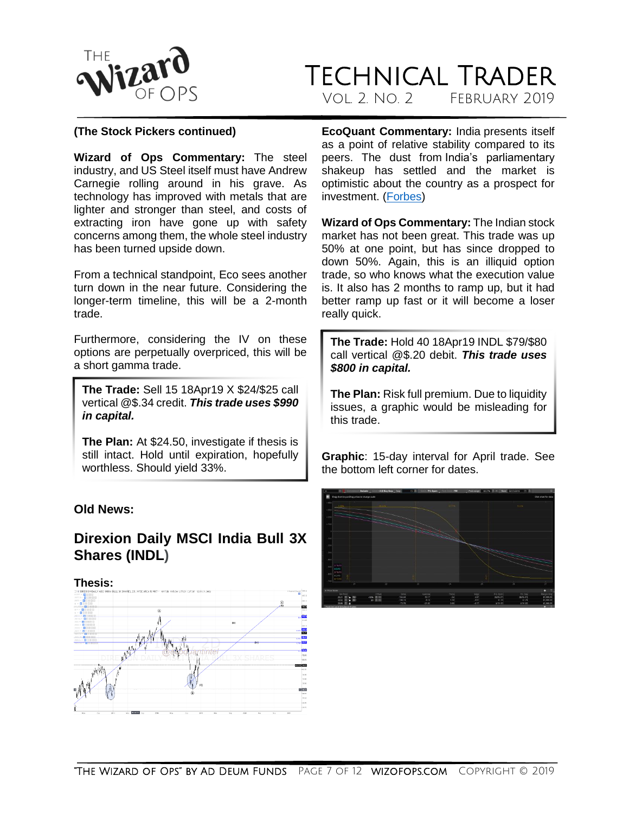![](_page_6_Picture_0.jpeg)

### Technical Trader VOL. 2. NO. 2. FEBRUARY 2019

#### **(The Stock Pickers continued)**

**Wizard of Ops Commentary:** The steel industry, and US Steel itself must have Andrew Carnegie rolling around in his grave. As technology has improved with metals that are lighter and stronger than steel, and costs of extracting iron have gone up with safety concerns among them, the whole steel industry has been turned upside down.

From a technical standpoint, Eco sees another turn down in the near future. Considering the longer-term timeline, this will be a 2-month trade.

Furthermore, considering the IV on these options are perpetually overpriced, this will be a short gamma trade.

**The Trade:** Sell 15 18Apr19 X \$24/\$25 call vertical @\$.34 credit. *This trade uses \$990 in capital.*

**The Plan:** At \$24.50, investigate if thesis is still intact. Hold until expiration, hopefully worthless. Should yield 33%.

#### **Old News:**

### **Direxion Daily MSCI India Bull 3X Shares (INDL)**

**Thesis:** 

![](_page_6_Figure_12.jpeg)

**EcoQuant Commentary:** India presents itself as a point of relative stability compared to its peers. The dust from India's parliamentary shakeup has settled and the market is optimistic about the country as a prospect for investment. [\(Forbes\)](https://www.forbes.com/sites/panosmourdoukoutas/2018/11/05/modi-keeps-on-lifting-india-up/#416949034a33)

**Wizard of Ops Commentary:** The Indian stock market has not been great. This trade was up 50% at one point, but has since dropped to down 50%. Again, this is an illiquid option trade, so who knows what the execution value is. It also has 2 months to ramp up, but it had better ramp up fast or it will become a loser really quick.

**The Trade:** Hold 40 18Apr19 INDL \$79/\$80 call vertical @\$.20 debit. *This trade uses \$800 in capital.*

**The Plan:** Risk full premium. Due to liquidity issues, a graphic would be misleading for this trade.

**Graphic**: 15-day interval for April trade. See the bottom left corner for dates.

![](_page_6_Figure_18.jpeg)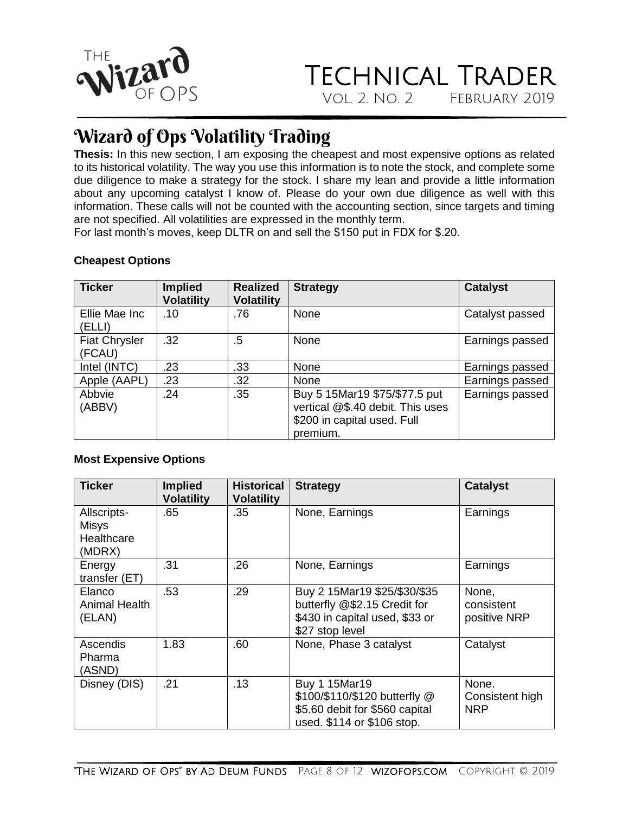![](_page_7_Picture_0.jpeg)

## <span id="page-7-0"></span>Wizard of Ops Volatility Trading

**Thesis:** In this new section, I am exposing the cheapest and most expensive options as related to its historical volatility. The way you use this information is to note the stock, and complete some due diligence to make a strategy for the stock. I share my lean and provide a little information about any upcoming catalyst I know of. Please do your own due diligence as well with this information. These calls will not be counted with the accounting section, since targets and timing are not specified. All volatilities are expressed in the monthly term.

For last month's moves, keep DLTR on and sell the \$150 put in FDX for \$.20.

#### **Cheapest Options**

| <b>Ticker</b>                  | <b>Implied</b><br><b>Volatility</b> | <b>Realized</b><br><b>Volatility</b> | <b>Strategy</b>                                                                                              | <b>Catalyst</b> |
|--------------------------------|-------------------------------------|--------------------------------------|--------------------------------------------------------------------------------------------------------------|-----------------|
| Ellie Mae Inc<br>(ELLI)        | .10                                 | .76                                  | None                                                                                                         | Catalyst passed |
| <b>Fiat Chrysler</b><br>(FCAU) | .32                                 | .5                                   | None                                                                                                         | Earnings passed |
| Intel (INTC)                   | .23                                 | .33                                  | None                                                                                                         | Earnings passed |
| Apple (AAPL)                   | .23                                 | .32                                  | None                                                                                                         | Earnings passed |
| Abbvie<br>(ABBV)               | .24                                 | .35                                  | Buy 5 15Mar19 \$75/\$77.5 put<br>vertical @\$.40 debit. This uses<br>\$200 in capital used. Full<br>premium. | Earnings passed |

#### **Most Expensive Options**

| Ticker                                              | <b>Implied</b><br><b>Volatility</b> | <b>Historical</b><br><b>Volatility</b> | <b>Strategy</b>                                                                                                   | <b>Catalyst</b>                        |
|-----------------------------------------------------|-------------------------------------|----------------------------------------|-------------------------------------------------------------------------------------------------------------------|----------------------------------------|
| Allscripts-<br><b>Misys</b><br>Healthcare<br>(MDRX) | .65                                 | .35                                    | None, Earnings                                                                                                    | Earnings                               |
| Energy<br>transfer (ET)                             | .31                                 | .26                                    | None, Earnings                                                                                                    | Earnings                               |
| Elanco<br><b>Animal Health</b><br>(ELAN)            | .53                                 | .29                                    | Buy 2 15Mar19 \$25/\$30/\$35<br>butterfly @\$2.15 Credit for<br>\$430 in capital used, \$33 or<br>\$27 stop level | None.<br>consistent<br>positive NRP    |
| Ascendis<br>Pharma<br>(ASND)                        | 1.83                                | .60                                    | None, Phase 3 catalyst                                                                                            | Catalyst                               |
| Disney (DIS)                                        | .21                                 | .13                                    | Buy 1 15Mar19<br>\$100/\$110/\$120 butterfly @<br>\$5.60 debit for \$560 capital<br>used. \$114 or \$106 stop.    | None.<br>Consistent high<br><b>NRP</b> |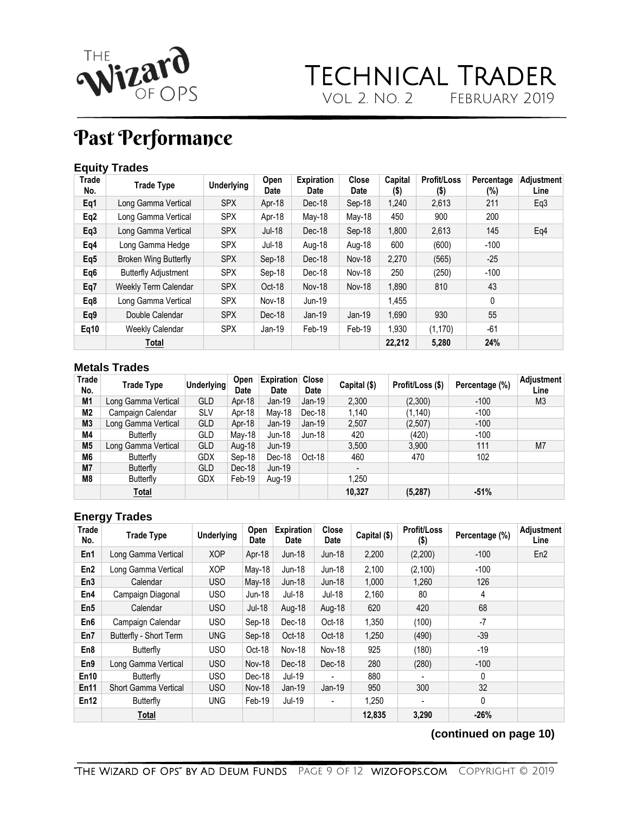![](_page_8_Picture_0.jpeg)

# <span id="page-8-0"></span>Past Performance

#### **Equity Trades**

| <b>Trade</b><br>No. | <b>Trade Type</b>            | <b>Underlying</b> | Open<br>Date  | <b>Expiration</b><br><b>Date</b> | <b>Close</b><br>Date | Capital<br>(\$) | <b>Profit/Loss</b><br>$($ \$) | Percentage<br>(%) | Adjustment<br>Line |
|---------------------|------------------------------|-------------------|---------------|----------------------------------|----------------------|-----------------|-------------------------------|-------------------|--------------------|
| Eq1                 | Long Gamma Vertical          | <b>SPX</b>        | Apr-18        | Dec-18                           | Sep-18               | 1,240           | 2,613                         | 211               | Eq3                |
| Eq2                 | Long Gamma Vertical          | <b>SPX</b>        | Apr-18        | May-18                           | May-18               | 450             | 900                           | 200               |                    |
| Eq3                 | Long Gamma Vertical          | <b>SPX</b>        | Jul-18        | Dec-18                           | Sep-18               | 1,800           | 2,613                         | 145               | Eq4                |
| Eq4                 | Long Gamma Hedge             | <b>SPX</b>        | <b>Jul-18</b> | Aug-18                           | Aug-18               | 600             | (600)                         | $-100$            |                    |
| Eq5                 | <b>Broken Wing Butterfly</b> | <b>SPX</b>        | Sep-18        | Dec-18                           | <b>Nov-18</b>        | 2,270           | (565)                         | $-25$             |                    |
| Eq6                 | <b>Butterfly Adjustment</b>  | <b>SPX</b>        | Sep-18        | Dec-18                           | <b>Nov-18</b>        | 250             | (250)                         | $-100$            |                    |
| Eq7                 | Weekly Term Calendar         | <b>SPX</b>        | Oct-18        | <b>Nov-18</b>                    | <b>Nov-18</b>        | 1,890           | 810                           | 43                |                    |
| Eq8                 | Long Gamma Vertical          | <b>SPX</b>        | <b>Nov-18</b> | Jun-19                           |                      | 1,455           |                               | 0                 |                    |
| Eq9                 | Double Calendar              | <b>SPX</b>        | Dec-18        | $Jan-19$                         | $Jan-19$             | 1,690           | 930                           | 55                |                    |
| Eq10                | <b>Weekly Calendar</b>       | <b>SPX</b>        | Jan-19        | Feb-19                           | Feb-19               | 1.930           | (1, 170)                      | $-61$             |                    |
|                     | Total                        |                   |               |                                  |                      | 22.212          | 5,280                         | 24%               |                    |

#### **Metals Trades**

| Trade<br>No.   | <b>Trade Type</b>   | <b>Underlying</b> | Open<br>Date | <b>Expiration</b><br>Date | <b>Close</b><br>Date | Capital (\$)             | Profit/Loss (\$) | Percentage (%) | <b>Adjustment</b><br>Line |
|----------------|---------------------|-------------------|--------------|---------------------------|----------------------|--------------------------|------------------|----------------|---------------------------|
| M1             | Long Gamma Vertical | <b>GLD</b>        | Apr-18       | $Jan-19$                  | $Jan-19$             | 2,300                    | (2,300)          | $-100$         | M3                        |
| M2             | Campaign Calendar   | <b>SLV</b>        | Apr-18       | May-18                    | $Dec-18$             | 1.140                    | (1, 140)         | $-100$         |                           |
| M <sub>3</sub> | Long Gamma Vertical | <b>GLD</b>        | Apr-18       | $Jan-19$                  | $Jan-19$             | 2.507                    | (2,507)          | $-100$         |                           |
| M4             | Butterfly           | GLD               | May-18       | Jun-18                    | Jun-18               | 420                      | (420)            | $-100$         |                           |
| M <sub>5</sub> | Long Gamma Vertical | <b>GLD</b>        | Aug-18       | Jun-19                    |                      | 3.500                    | 3.900            | 111            | M7                        |
| M6             | Butterfly           | <b>GDX</b>        | Sep-18       | Dec-18                    | Oct-18               | 460                      | 470              | 102            |                           |
| <b>M7</b>      | Butterfly           | <b>GLD</b>        | Dec-18       | $Jun-19$                  |                      | $\overline{\phantom{0}}$ |                  |                |                           |
| M8             | Butterfly           | <b>GDX</b>        | Feb-19       | Aug-19                    |                      | 1,250                    |                  |                |                           |
|                | <b>Total</b>        |                   |              |                           |                      | 10,327                   | (5, 287)         | $-51%$         |                           |

#### **Energy Trades**

| Trade<br>No.    | <b>Trade Type</b>           | <b>Underlying</b> | Open<br>Date  | <b>Expiration</b><br>Date | <b>Close</b><br>Date     | Capital (\$) | <b>Profit/Loss</b><br>$($ \$) | Percentage (%) | Adjustment<br>Line |
|-----------------|-----------------------------|-------------------|---------------|---------------------------|--------------------------|--------------|-------------------------------|----------------|--------------------|
| En1             | Long Gamma Vertical         | <b>XOP</b>        | Apr-18        | Jun-18                    | Jun-18                   | 2,200        | (2,200)                       | $-100$         | En <sub>2</sub>    |
| En2             | Long Gamma Vertical         | <b>XOP</b>        | $May-18$      | <b>Jun-18</b>             | <b>Jun-18</b>            | 2,100        | (2, 100)                      | $-100$         |                    |
| En3             | Calendar                    | USO               | $May-18$      | $Jun-18$                  | <b>Jun-18</b>            | 1,000        | 1,260                         | 126            |                    |
| En4             | Campaign Diagonal           | <b>USO</b>        | Jun-18        | Jul-18                    | Jul-18                   | 2,160        | 80                            | 4              |                    |
| En <sub>5</sub> | Calendar                    | USO               | Jul-18        | Aug-18                    | Aug-18                   | 620          | 420                           | 68             |                    |
| En6             | Campaign Calendar           | <b>USO</b>        | Sep-18        | Dec-18                    | Oct-18                   | 1,350        | (100)                         | $-7$           |                    |
| En7             | Butterfly - Short Term      | <b>UNG</b>        | Sep-18        | Oct-18                    | Oct-18                   | 1,250        | (490)                         | $-39$          |                    |
| En8             | Butterfly                   | <b>USO</b>        | Oct-18        | <b>Nov-18</b>             | <b>Nov-18</b>            | 925          | (180)                         | $-19$          |                    |
| En9             | Long Gamma Vertical         | <b>USO</b>        | <b>Nov-18</b> | Dec-18                    | Dec-18                   | 280          | (280)                         | $-100$         |                    |
| En10            | Butterfly                   | <b>USO</b>        | Dec-18        | Jul-19                    | ۰                        | 880          |                               | 0              |                    |
| En11            | <b>Short Gamma Vertical</b> | <b>USO</b>        | Nov-18        | $Jan-19$                  | $Jan-19$                 | 950          | 300                           | 32             |                    |
| En12            | Butterfly                   | <b>UNG</b>        | Feb-19        | Jul-19                    | $\overline{\phantom{0}}$ | 1,250        | ۰                             | 0              |                    |
|                 | Total                       |                   |               |                           |                          | 12,835       | 3,290                         | $-26%$         |                    |

**(continued on page 10)**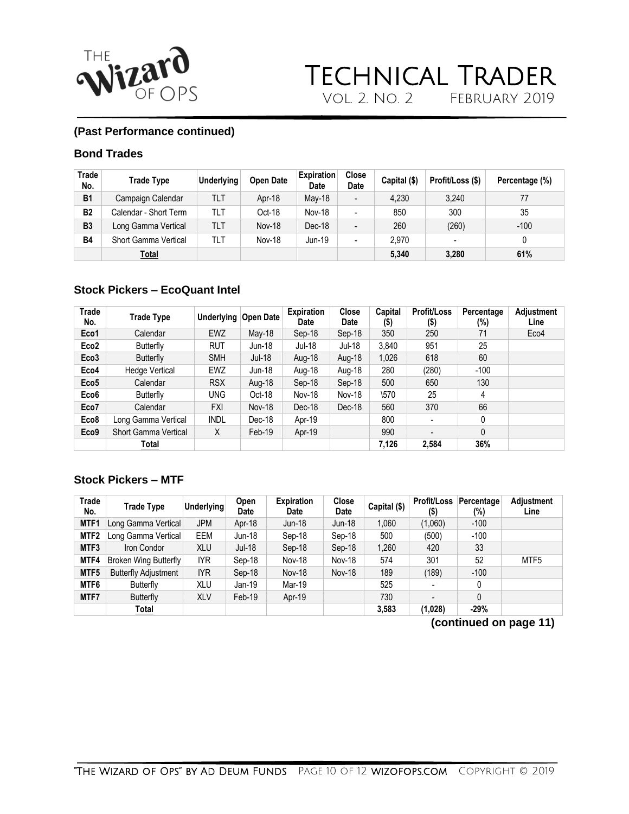![](_page_9_Picture_0.jpeg)

![](_page_9_Picture_1.jpeg)

#### **(Past Performance continued)**

#### **Bond Trades**

| Trade<br>No. | <b>Trade Type</b>     | <b>Underlying</b> | <b>Open Date</b> | <b>Expiration</b><br>Date | <b>Close</b><br>Date | Capital (\$) | Profit/Loss (\$) | Percentage (%) |
|--------------|-----------------------|-------------------|------------------|---------------------------|----------------------|--------------|------------------|----------------|
| <b>B1</b>    | Campaign Calendar     | TLT               | Apr-18           | May-18                    |                      | 4.230        | 3.240            | 77             |
| <b>B2</b>    | Calendar - Short Term | TLT               | Oct-18           | <b>Nov-18</b>             |                      | 850          | 300              | 35             |
| <b>B3</b>    | Long Gamma Vertical   | TLT               | <b>Nov-18</b>    | Dec-18                    |                      | 260          | (260)            | $-100$         |
| <b>B4</b>    | Short Gamma Vertical  | TLT               | <b>Nov-18</b>    | Jun-19                    |                      | 2.970        |                  |                |
|              | <u>Total</u>          |                   |                  |                           |                      | 5.340        | 3,280            | 61%            |

#### **Stock Pickers – EcoQuant Intel**

| Trade<br>No.     | Trade Type                  | <b>Underlying</b> | Open Date     | <b>Expiration</b><br>Date | Close<br>Date | Capital<br>$($ \$) | <b>Profit/Loss</b><br>$($ \$) | Percentage<br>(%) | <b>Adjustment</b><br>Line |
|------------------|-----------------------------|-------------------|---------------|---------------------------|---------------|--------------------|-------------------------------|-------------------|---------------------------|
| Eco1             | Calendar                    | <b>EWZ</b>        | May-18        | Sep-18                    | Sep-18        | 350                | 250                           | 71                | Eco4                      |
| Eco <sub>2</sub> | Butterfly                   | <b>RUT</b>        | Jun-18        | Jul-18                    | Jul-18        | 3.840              | 951                           | 25                |                           |
| Eco <sub>3</sub> | Butterfly                   | <b>SMH</b>        | Jul-18        | Aug-18                    | Aug-18        | 1,026              | 618                           | 60                |                           |
| Eco4             | <b>Hedge Vertical</b>       | <b>EWZ</b>        | Jun-18        | Aug-18                    | Aug-18        | 280                | (280)                         | $-100$            |                           |
| Eco <sub>5</sub> | Calendar                    | <b>RSX</b>        | Aug-18        | Sep-18                    | Sep-18        | 500                | 650                           | 130               |                           |
| Eco <sub>6</sub> | Butterfly                   | <b>UNG</b>        | Oct-18        | <b>Nov-18</b>             | <b>Nov-18</b> | $\sqrt{570}$       | 25                            | 4                 |                           |
| Eco7             | Calendar                    | <b>FXI</b>        | <b>Nov-18</b> | Dec-18                    | Dec-18        | 560                | 370                           | 66                |                           |
| Eco8             | Long Gamma Vertical         | <b>INDL</b>       | Dec-18        | Apr-19                    |               | 800                |                               | 0                 |                           |
| Eco9             | <b>Short Gamma Vertical</b> | X                 | $Feb-19$      | Apr-19                    |               | 990                | $\overline{\phantom{a}}$      | 0                 |                           |
|                  | Total                       |                   |               |                           |               | 7,126              | 2.584                         | 36%               |                           |

#### **Stock Pickers – MTF**

| Trade<br>No.     | <b>Trade Type</b>           | <b>Underlying</b> | Open<br>Date | <b>Expiration</b><br><b>Date</b> | <b>Close</b><br>Date | Capital (\$) | <b>Profit/Loss</b><br>\$)    | Percentage<br>(%) | Adjustment<br>Line |
|------------------|-----------------------------|-------------------|--------------|----------------------------------|----------------------|--------------|------------------------------|-------------------|--------------------|
| MTF1             | Long Gamma Vertical         | <b>JPM</b>        | Apr-18       | <b>Jun-18</b>                    | Jun-18               | 1,060        | (1,060)                      | $-100$            |                    |
| MTF <sub>2</sub> | Long Gamma Vertical         | EEM               | Jun-18       | Sep-18                           | Sep-18               | 500          | (500)                        | $-100$            |                    |
| MTF3             | Iron Condor                 | <b>XLU</b>        | Jul-18       | Sep-18                           | Sep-18               | 1,260        | 420                          | 33                |                    |
| MTF4             | Broken Wing Butterfly       | IYR.              | Sep-18       | <b>Nov-18</b>                    | <b>Nov-18</b>        | 574          | 301                          | 52                | MTF <sub>5</sub>   |
| MTF5             | <b>Butterfly Adjustment</b> | IYR.              | Sep-18       | <b>Nov-18</b>                    | <b>Nov-18</b>        | 189          | (189)                        | $-100$            |                    |
| MTF6             | Butterfly                   | <b>XLU</b>        | Jan-19       | Mar-19                           |                      | 525          |                              | 0                 |                    |
| MTF7             | Butterfly                   | <b>XLV</b>        | Feb-19       | Apr-19                           |                      | 730          | $\qquad \qquad \blacksquare$ | 0                 |                    |
|                  | <u>Total</u>                |                   |              |                                  |                      | 3,583        | (1,028)                      | $-29%$            |                    |

**(continued on page 11)**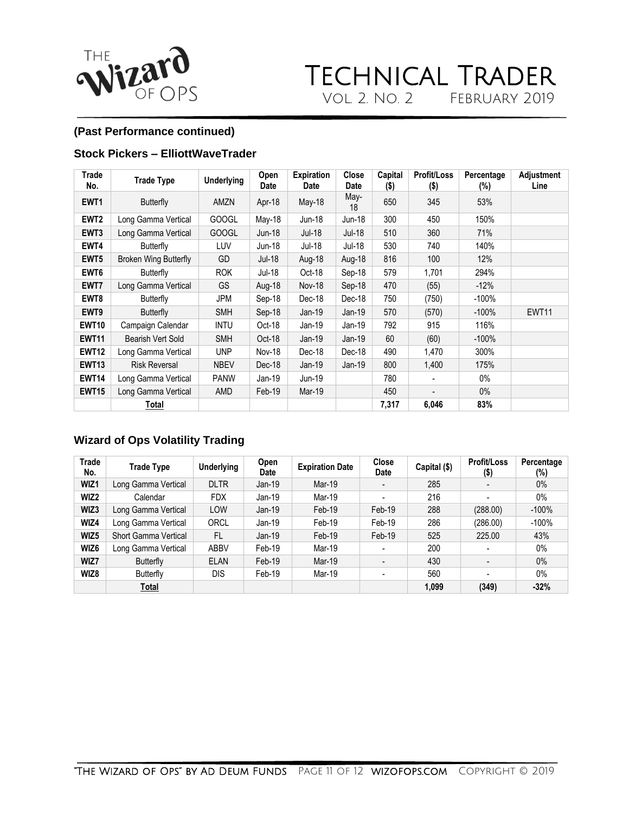![](_page_10_Picture_0.jpeg)

#### **(Past Performance continued)**

#### **Stock Pickers – ElliottWaveTrader**

| Trade<br>No.     | <b>Trade Type</b>            | <b>Underlying</b> | Open<br>Date | <b>Expiration</b><br>Date | Close<br>Date | Capital<br>$($ \$) | <b>Profit/Loss</b><br>(5) | Percentage<br>$(\%)$ | Adjustment<br>Line |
|------------------|------------------------------|-------------------|--------------|---------------------------|---------------|--------------------|---------------------------|----------------------|--------------------|
| EWT <sub>1</sub> | Butterfly                    | AMZN              | Apr-18       | May-18                    | May-<br>18    | 650                | 345                       | 53%                  |                    |
| EWT <sub>2</sub> | Long Gamma Vertical          | <b>GOOGL</b>      | May-18       | Jun-18                    | Jun-18        | 300                | 450                       | 150%                 |                    |
| EWT <sub>3</sub> | Long Gamma Vertical          | <b>GOOGL</b>      | Jun-18       | Jul-18                    | Jul-18        | 510                | 360                       | 71%                  |                    |
| EWT4             | Butterfly                    | <b>LUV</b>        | Jun-18       | Jul-18                    | Jul-18        | 530                | 740                       | 140%                 |                    |
| EWT <sub>5</sub> | <b>Broken Wing Butterfly</b> | GD                | Jul-18       | Aug-18                    | Aug-18        | 816                | 100                       | 12%                  |                    |
| EWT6             | Butterfly                    | <b>ROK</b>        | Jul-18       | Oct-18                    | Sep-18        | 579                | 1,701                     | 294%                 |                    |
| EWT7             | Long Gamma Vertical          | GS.               | Aug-18       | <b>Nov-18</b>             | Sep-18        | 470                | (55)                      | $-12%$               |                    |
| EWT8             | <b>Butterfly</b>             | <b>JPM</b>        | Sep-18       | Dec-18                    | Dec-18        | 750                | (750)                     | $-100\%$             |                    |
| EWT9             | Butterfly                    | <b>SMH</b>        | Sep-18       | Jan-19                    | $Jan-19$      | 570                | (570)                     | $-100%$              | <b>EWT11</b>       |
| <b>EWT10</b>     | Campaign Calendar            | <b>INTU</b>       | Oct-18       | Jan-19                    | Jan-19        | 792                | 915                       | 116%                 |                    |
| <b>EWT11</b>     | Bearish Vert Sold            | <b>SMH</b>        | Oct-18       | Jan-19                    | $Jan-19$      | 60                 | (60)                      | $-100%$              |                    |
| <b>EWT12</b>     | Long Gamma Vertical          | <b>UNP</b>        | Nov-18       | Dec-18                    | Dec-18        | 490                | 1,470                     | 300%                 |                    |
| <b>EWT13</b>     | <b>Risk Reversal</b>         | <b>NBEV</b>       | Dec-18       | Jan-19                    | $Jan-19$      | 800                | 1,400                     | 175%                 |                    |
| <b>EWT14</b>     | Long Gamma Vertical          | <b>PANW</b>       | Jan-19       | Jun-19                    |               | 780                |                           | 0%                   |                    |
| <b>EWT15</b>     | Long Gamma Vertical          | AMD               | Feb-19       | Mar-19                    |               | 450                |                           | $0\%$                |                    |
|                  | Total                        |                   |              |                           |               | 7,317              | 6,046                     | 83%                  |                    |

### **Wizard of Ops Volatility Trading**

| Trade<br>No. | <b>Trade Type</b>    | <b>Underlying</b> | Open<br>Date | <b>Expiration Date</b> | <b>Close</b><br>Date | Capital (\$) | <b>Profit/Loss</b><br>$($ \$) | Percentage<br>$(\%)$ |
|--------------|----------------------|-------------------|--------------|------------------------|----------------------|--------------|-------------------------------|----------------------|
| WIZ1         | Long Gamma Vertical  | <b>DLTR</b>       | $Jan-19$     | Mar-19                 |                      | 285          |                               | $0\%$                |
| WIZ2         | Calendar             | <b>FDX</b>        | Jan-19       | Mar-19                 |                      | 216          | $\overline{\phantom{a}}$      | $0\%$                |
| WIZ3         | Long Gamma Vertical  | LOW               | $Jan-19$     | Feb-19                 | Feb-19               | 288          | (288.00)                      | $-100%$              |
| WIZ4         | Long Gamma Vertical  | <b>ORCL</b>       | Jan-19       | Feb-19                 | Feb-19               | 286          | (286.00)                      | $-100%$              |
| WIZ5         | Short Gamma Vertical | FL                | $Jan-19$     | Feb-19                 | Feb-19               | 525          | 225.00                        | 43%                  |
| WIZ6         | Long Gamma Vertical  | <b>ABBV</b>       | Feb-19       | Mar-19                 |                      | 200          |                               | $0\%$                |
| WIZ7         | Butterfly            | <b>ELAN</b>       | Feb-19       | Mar-19                 |                      | 430          | $\overline{\phantom{a}}$      | $0\%$                |
| WIZ8         | Butterfly            | <b>DIS</b>        | Feb-19       | Mar-19                 |                      | 560          | $\overline{\phantom{a}}$      | $0\%$                |
|              | <b>Total</b>         |                   |              |                        |                      | 1,099        | (349)                         | $-32%$               |